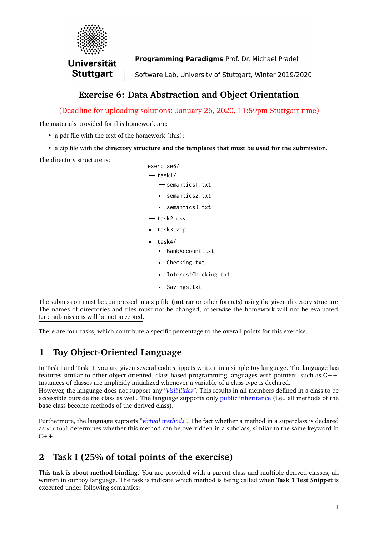

Programming Paradigms Prof. Dr. Michael Pradel

Software Lab, University of Stuttgart, Winter 2019/2020

# **Exercise 6: Data Abstraction and Object Orientation**

(Deadline for uploading solutions: January 26, 2020, 11:59pm Stuttgart time)

The materials provided for this homework are:

- a pdf file with the text of the homework (this);
- a zip file with **the directory structure and the templates that must be used for the submission**.

The directory structure is:



The submission must be compressed in a zip file (**not rar** or other formats) using the given directory structure. The names of directories and files must not be changed, otherwise the homework will not be evaluated. Late submissions will be not accepted.

There are four tasks, which contribute a specific percentage to the overall points for this exercise.

### **1 Toy Object-Oriented Language**

In Task I and Task II, you are given several code snippets written in a simple toy language. The language has features similar to other object-oriented, class-based programming languages with pointers, such as C++. Instances of classes are implicitly initialized whenever a variable of a class type is declared. However, the language does not support any *"visibilities"*. This results in all members defined in a class to be accessible outside the class as well. The language supports only public inheritance (i.e., all methods of the base class become methods of the derived class).

Furthermore, the language supports "*virtual methods*". The fact whether a method in a superclass is declared as virtual determines whether this method can be overridden in a subclass, similar to the same keyword in  $C++$ .

# **2 Task I (25% of total points of the exercise)**

This task is about **method binding**. You are provided with a parent class and multiple derived classes, all written in our toy language. The task is indicate which method is being called when **Task 1 Test Snippet** is executed under following semantics: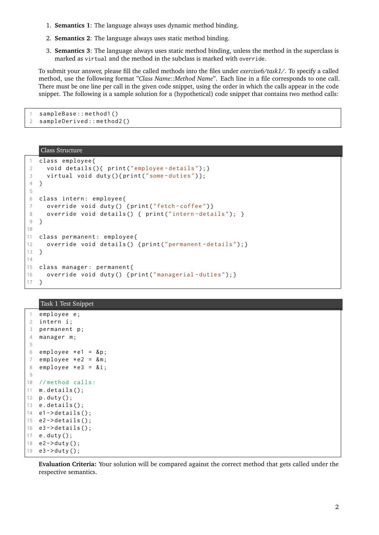- 1. **Semantics 1**: The language always uses dynamic method binding.
- 2. **Semantics 2**: The language always uses static method binding.
- 3. **Semantics 3**: The language always uses static method binding, unless the method in the superclass is marked as virtual and the method in the subclass is marked with override.

To submit your answer, please fill the called methods into the files under *exercise6/task1/*. To specify a called method, use the following format "*Class Name::Method Name*". Each line in a file corresponds to one call. There must be one line per call in the given code snippet, using the order in which the calls appear in the code snippet. The following is a sample solution for a (hypothetical) code snippet that contains two method calls:

1 sampleBase :: method1 () 2 sampleDerived :: method2 ()

#### Class Structure

```
1 class employee {
2 void details (){ print ("employee-details"); }
3 virtual void duty (){ print ("some - duties ")};
4 }
5
6 class intern: employee{
7 override void duty() {print("fetch-coffee")}
8 override void details() { print("intern-details"); }
9 }
10
11 class permanent: employee{
12 override void details () {print ("permanent-details"); }
13 }
14
15 class manager: permanent{
16 override void duty () {print ("managerial-duties"); }
17 }
```
Task 1 Test Snippet

```
1 employee e ;
2 intern i ;
3 permanent p;
4 manager m;
5
6 employee *e1 = &p;
7 employee *e2 = 8m;
8 employee *e3 = 8i;
9
10 // method calls :
11 m.details();
12 p . duty ();
13 e . details ();
14 el->details();
15 e^2 ->details();
16 e3 - > details();
17 e . duty ();
18 e^2 -> duty ();
19 e3 - > duty();
```
**Evaluation Criteria:** Your solution will be compared against the correct method that gets called under the respective semantics.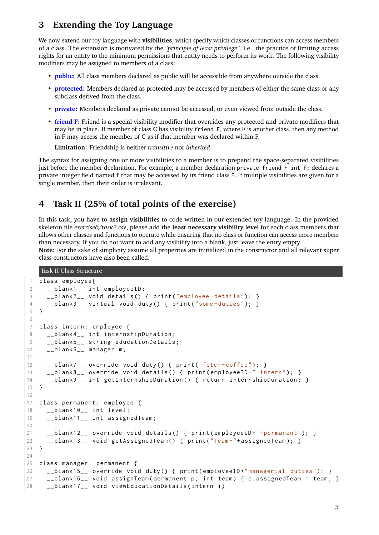### **3 Extending the Toy Language**

We now extend our toy language with **visibilities**, which specify which classes or functions can access members of a class. The extension is motivated by the "*principle of least privilege*", i.e., the practice of limiting access rights for an entity to the minimum permissions that entity needs to perform its work. The following visibility modifiers may be assigned to members of a class:

- **public:** All class members declared as public will be accessible from anywhere outside the class.
- **protected:** Members declared as protected may be accessed by members of either the same class or any subclass derived from the class.
- **private:** Members declared as private cannot be accessed, or even viewed from outside the class.
- **friend F:** Friend is a special visibility modifier that overrides any protected and private modifiers that may be in place. If member of class C has visibility friend F, where F is another class, then any method in F may access the member of C as if that member was declared within F.

**Limitation:** Friendship is neither *transitive* nor *inherited*.

The syntax for assigning one or more visibilities to a member is to prepend the space-separated visibilities just before the member declaration. For example, a member declaration private friend F int f; declares a private integer field named f that may be accessed by its friend class F. If multiple visibilities are given for a single member, then their order is irrelevant.

### **4 Task II (25% of total points of the exercise)**

In this task, you have to **assign visibilities** to code written in our extended toy language. In the provided skeleton file *exercise6/task2.csv*, please add the **least necessary visibility level** for each class members that allows other classes and functions to operate while ensuring that no class or function can access more members than necessary. If you do not want to add any visibility into a blank, just leave the entry empty.

**Note:** For the sake of simplicity assume all properties are initialized in the constructor and all relevant super class constructors have also been called.

Task II Class Structure

```
1 class employee {
 2 __blank1__ int employeeID;
3 __blank2__ void details() { print ("employee-details"); }
4 __blank3__ virtual void duty () { print ("some - duties "); }
 5 }
 6
 7 class intern: employee {
 8 __blank4__ int internshipDuration;
 9 __blank5__ string educationDetails;
10 __blank6__ manager m;
11
12 __blank7__ override void duty() { print("fetch-coffee"); }
13 __blank8__ override void details () { print (employeeID+"-intern"); }
14 __blank9__ int getInternshipDuration () { return internshipDuration; }
15 }
16
17 class permanent: employee {
18 __blank10__ int level;
19 __blank11__ int assignedTeam ;
20
21 __blank12__ override void details () { print (employeeID+"-permanent"); }
22 ___blank13__ void getAssignedTeam () { print ("Team-"+assignedTeam); }
23 }
24
25 class manager : permanent {
26 __blank15__ override void duty() { print (employeeID+"managerial-duties"); }
27 __blank16__ void assignTeam (permanent p, int team) { p.assignedTeam = team; }
28 __blank17__ void viewEducationDetails ( intern i )
```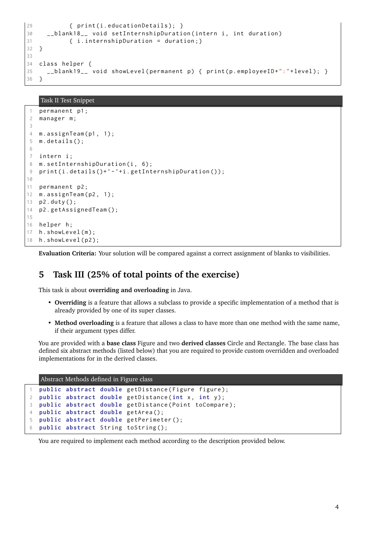```
29 { print (i.educationDetails); }
30 __blank18__ void setInternshipDuration (intern i, int duration)
31 { i . internshipDuration = duration ; }
32 }
33
34 class helper {
35 ___blank19__ void showLevel (permanent p) { print (p.employeeID+":"+level); }
36 }
```
#### Task II Test Snippet

```
1 permanent p1 ;
2 manager m;
3
4 m.assignTeam(p1, 1);
5 \text{ m. details} ();
6
7 intern i ;
8 m. setInternshipDuration(i, 6);
9 print(i.details()+'-'+i.getInternshipDuration());
10
11 permanent p2 ;
12 m.assignTeam(p2, 1);
13 p2 . duty ();
14 p2 . getAssignedTeam ();
15
16 helper h;
17 h.showLevel(m);
18 h.showLevel(p2);
```
**Evaluation Criteria:** Your solution will be compared against a correct assignment of blanks to visibilities.

#### **5 Task III (25% of total points of the exercise)**

This task is about **overriding and overloading** in Java.

- **Overriding** is a feature that allows a subclass to provide a specific implementation of a method that is already provided by one of its super classes.
- **Method overloading** is a feature that allows a class to have more than one method with the same name, if their argument types differ.

You are provided with a **base class** Figure and two **derived classes** Circle and Rectangle. The base class has defined six abstract methods (listed below) that you are required to provide custom overridden and overloaded implementations for in the derived classes.

```
Abstract Methods defined in Figure class
1 public abstract double getDistance ( Figure figure );
2 public abstract double getDistance ( int x , int y );
3 public abstract double getDistance ( Point toCompare );
4 public abstract double getArea ();
5 public abstract double getPerimeter ();
  6 public abstract String toString ();
```
You are required to implement each method according to the description provided below.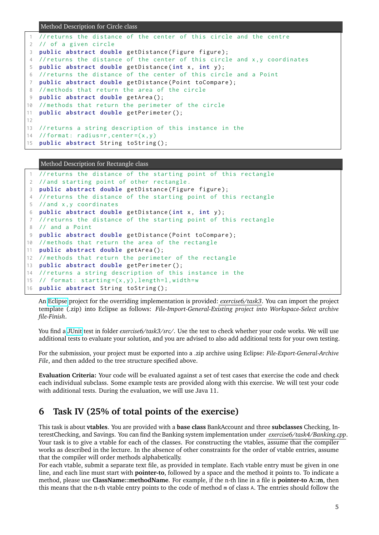Method Description for Circle class

```
1 // returns the distance of the center of this circle and the centre
2 // of a given circle
3 public abstract double getDistance ( Figure figure );
4 // returns the distance of the center of this circle and x,y coordinates
5 public abstract double getDistance ( int x , int y );
6 // returns the distance of the center of this circle and a Point
7 public abstract double getDistance ( Point toCompare );
8 //methods that return the area of the circle
9 public abstract double getArea ();
10 // methods that return the perimeter of the circle
11 public abstract double getPerimeter ();
12
13 // returns a string description of this instance in the
14 //format: radius=r, center=(x, y)15 public abstract String toString ();
```
#### Method Description for Rectangle class

```
1 // returns the distance of the starting point of this rectangle
2 // and starting point of other rectangle.
3 public abstract double getDistance ( Figure figure );
4 // returns the distance of the starting point of this rectangle
5 // and x,y coordinates
6 public abstract double getDistance ( int x , int y );
7 // returns the distance of the starting point of this rectangle
8 // and a Point
9 public abstract double getDistance ( Point toCompare );
10 // methods that return the area of the rectangle
11 public abstract double getArea ();
12 // methods that return the perimeter of the rectangle
13 public abstract double getPerimeter ();
14 // returns a string description of this instance in the
15 // format: starting=(x,y), length=1, width=w
16 public abstract String toString ();
```
An [Eclipse](https://www.eclipse.org/downloads/packages/) project for the overriding implementation is provided: *exercise6/task3*. You can import the project template (.zip) into Eclipse as follows: *File-Import-General-Existing project into Workspace-Select archive file-Finish*.

You find a [JUnit](https://en.wikipedia.org/wiki/JUnit) test in folder *exercise6/task3/src/*. Use the test to check whether your code works. We will use additional tests to evaluate your solution, and you are advised to also add additional tests for your own testing.

For the submission, your project must be exported into a .zip archive using Eclipse: *File-Export-General-Archive File*, and then added to the tree structure specified above.

**Evaluation Criteria:** Your code will be evaluated against a set of test cases that exercise the code and check each individual subclass. Some example tests are provided along with this exercise. We will test your code with additional tests. During the evaluation, we will use Java 11.

#### **6 Task IV (25% of total points of the exercise)**

This task is about **vtables**. You are provided with a **base class** BankAccount and three **subclasses** Checking, InterestChecking, and Savings. You can find the Banking system implementation under *exercise6/task4/Banking.cpp*. Your task is to give a vtable for each of the classes. For constructing the vtables, assume that the compiler works as described in the lecture. In the absence of other constraints for the order of vtable entries, assume that the compiler will order methods alphabetically.

For each vtable, submit a separate text file, as provided in template. Each vtable entry must be given in one line, and each line must start with **pointer-to**, followed by a space and the method it points to. To indicate a method, please use **ClassName::methodName**. For example, if the n-th line in a file is **pointer-to A::m**, then this means that the n-th vtable entry points to the code of method m of class A. The entries should follow the